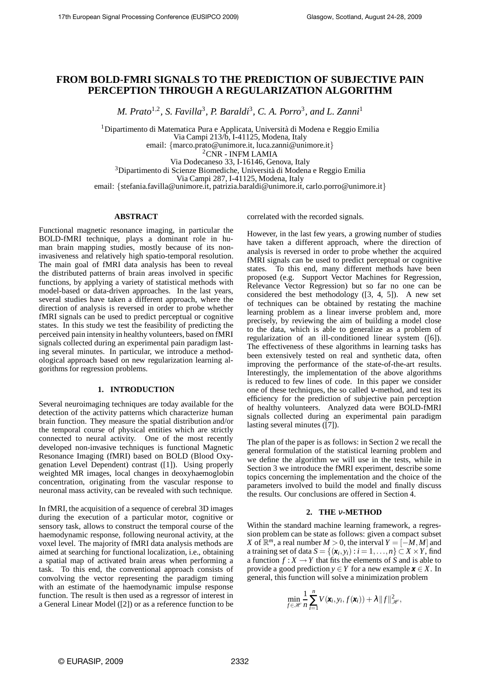# **FROM BOLD-FMRI SIGNALS TO THE PREDICTION OF SUBJECTIVE PAIN PERCEPTION THROUGH A REGULARIZATION ALGORITHM**

*M. Prato*<sup>1,2</sup>, *S. Favilla*<sup>3</sup>, *P. Baraldi*<sup>3</sup>, *C. A. Porro*<sup>3</sup>, and *L. Zanni*<sup>1</sup>

<sup>1</sup> Dipartimento di Matematica Pura e Applicata, Università di Modena e Reggio Emilia Via Campi 213/b, I-41125, Modena, Italy email: {marco.prato@unimore.it, luca.zanni@unimore.it} <sup>2</sup>CNR - INFM LAMIA

Via Dodecaneso 33, I-16146, Genova, Italy <sup>3</sup>Dipartimento di Scienze Biomediche, Università di Modena e Reggio Emilia Via Campi 287, I-41125, Modena, Italy email: {stefania.favilla@unimore.it, patrizia.baraldi@unimore.it, carlo.porro@unimore.it}

## **ABSTRACT**

Functional magnetic resonance imaging, in particular the BOLD-fMRI technique, plays a dominant role in human brain mapping studies, mostly because of its noninvasiveness and relatively high spatio-temporal resolution. The main goal of fMRI data analysis has been to reveal the distributed patterns of brain areas involved in specific functions, by applying a variety of statistical methods with model-based or data-driven approaches. In the last years, several studies have taken a different approach, where the direction of analysis is reversed in order to probe whether fMRI signals can be used to predict perceptual or cognitive states. In this study we test the feasibility of predicting the perceived pain intensity in healthy volunteers, based on fMRI signals collected during an experimental pain paradigm lasting several minutes. In particular, we introduce a methodological approach based on new regularization learning algorithms for regression problems.

# **1. INTRODUCTION**

Several neuroimaging techniques are today available for the detection of the activity patterns which characterize human brain function. They measure the spatial distribution and/or the temporal course of physical entities which are strictly connected to neural activity. One of the most recently developed non-invasive techniques is functional Magnetic Resonance Imaging (fMRI) based on BOLD (Blood Oxygenation Level Dependent) contrast ([1]). Using properly weighted MR images, local changes in deoxyhaemoglobin concentration, originating from the vascular response to neuronal mass activity, can be revealed with such technique.

In fMRI, the acquisition of a sequence of cerebral 3D images during the execution of a particular motor, cognitive or sensory task, allows to construct the temporal course of the haemodynamic response, following neuronal activity, at the voxel level. The majority of fMRI data analysis methods are aimed at searching for functional localization, i.e., obtaining a spatial map of activated brain areas when performing a task. To this end, the conventional approach consists of convolving the vector representing the paradigm timing with an estimate of the haemodynamic impulse response function. The result is then used as a regressor of interest in a General Linear Model ([2]) or as a reference function to be correlated with the recorded signals.

However, in the last few years, a growing number of studies have taken a different approach, where the direction of analysis is reversed in order to probe whether the acquired fMRI signals can be used to predict perceptual or cognitive states. To this end, many different methods have been proposed (e.g. Support Vector Machines for Regression, Relevance Vector Regression) but so far no one can be considered the best methodology ([3, 4, 5]). A new set of techniques can be obtained by restating the machine learning problem as a linear inverse problem and, more precisely, by reviewing the aim of building a model close to the data, which is able to generalize as a problem of regularization of an ill-conditioned linear system ([6]). The effectiveness of these algorithms in learning tasks has been extensively tested on real and synthetic data, often improving the performance of the state-of-the-art results. Interestingly, the implementation of the above algorithms is reduced to few lines of code. In this paper we consider one of these techniques, the so called  $v$ -method, and test its efficiency for the prediction of subjective pain perception of healthy volunteers. Analyzed data were BOLD-fMRI signals collected during an experimental pain paradigm lasting several minutes ([7]).

The plan of the paper is as follows: in Section 2 we recall the general formulation of the statistical learning problem and we define the algorithm we will use in the tests, while in Section 3 we introduce the fMRI experiment, describe some topics concerning the implementation and the choice of the parameters involved to build the model and finally discuss the results. Our conclusions are offered in Section 4.

## **2. THE** <sup>ν</sup>**-METHOD**

Within the standard machine learning framework, a regression problem can be state as follows: given a compact subset *X* of  $\mathbb{R}^m$ , a real number *M* > 0, the interval *Y* =  $\begin{bmatrix} -M, M \end{bmatrix}$  and a training set of data  $S = \{(\boldsymbol{x}_i, y_i) : i = 1, \ldots, n\} \subset X \times Y$ , find a function  $f: X \to Y$  that fits the elements of *S* and is able to provide a good prediction  $y \in Y$  for a new example  $x \in X$ . In general, this function will solve a minimization problem

$$
\min_{f \in \mathcal{H}} \frac{1}{n} \sum_{i=1}^n V(\mathbf{x}_i, y_i, f(\mathbf{x}_i)) + \lambda \|f\|_{\mathcal{H}}^2,
$$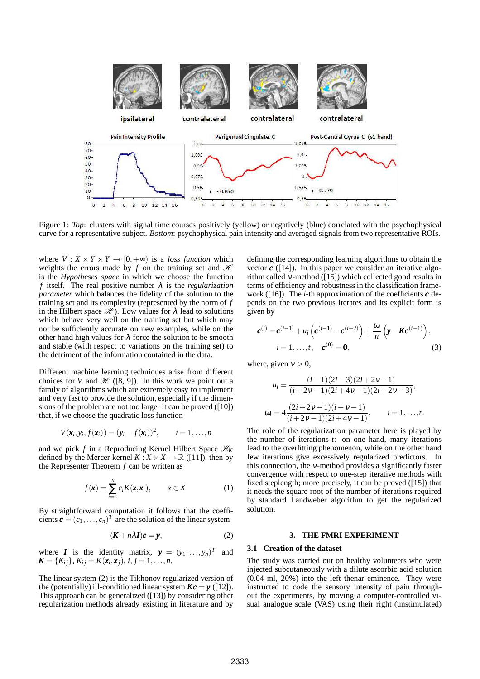

Figure 1: *Top*: clusters with signal time courses positively (yellow) or negatively (blue) correlated with the psychophysical curve for a representative subject. *Bottom*: psychophysical pain intensity and averaged signals from two representative ROIs.

where  $V: X \times Y \times Y \to [0, +\infty)$  is a *loss function* which weights the errors made by  $f$  on the training set and  $\mathcal{H}$ is the *Hypotheses space* in which we choose the function *f* itself. The real positive number  $\lambda$  is the *regularization parameter* which balances the fidelity of the solution to the training set and its complexity (represented by the norm of *f* in the Hilbert space  $\mathcal{H}$ ). Low values for  $\lambda$  lead to solutions which behave very well on the training set but which may not be sufficiently accurate on new examples, while on the other hand high values for  $\lambda$  force the solution to be smooth and stable (with respect to variations on the training set) to the detriment of the information contained in the data.

Different machine learning techniques arise from different choices for *V* and  $\mathcal{H}$  ([8, 9]). In this work we point out a family of algorithms which are extremely easy to implement and very fast to provide the solution, especially if the dimensions of the problem are not too large. It can be proved ([10]) that, if we choose the quadratic loss function

$$
V(\mathbf{x}_i, y_i, f(\mathbf{x}_i)) = (y_i - f(\mathbf{x}_i))^2, \qquad i = 1, \ldots, n
$$

and we pick *f* in a Reproducing Kernel Hilbert Space  $\mathcal{H}_K$ defined by the Mercer kernel  $K : X \times X \to \mathbb{R}$  ([11]), then by the Representer Theorem *f* can be written as

$$
f(\mathbf{x}) = \sum_{i=1}^{n} c_i K(\mathbf{x}, \mathbf{x}_i), \qquad x \in X.
$$
 (1)

By straightforward computation it follows that the coefficients  $\mathbf{c} = (c_1, \ldots, c_n)^T$  are the solution of the linear system

$$
(\mathbf{K} + n\lambda \mathbf{I})\mathbf{c} = \mathbf{y},\tag{2}
$$

where *I* is the identity matrix,  $\mathbf{y} = (y_1, \ldots, y_n)^T$  and  $\mathbf{K} = \{K_{ij}\}, K_{ij} = K(\mathbf{x}_i, \mathbf{x}_j), i, j = 1, \ldots, n.$ 

The linear system (2) is the Tikhonov regularized version of the (potentially) ill-conditioned linear system  $Kc = y$  ([12]). This approach can be generalized ([13]) by considering other regularization methods already existing in literature and by defining the corresponding learning algorithms to obtain the vector  $c$  ([14]). In this paper we consider an iterative algorithm called <sup>ν</sup>-method ([15]) which collected good results in terms of efficiency and robustness in the classification framework ([16]). The *i*-th approximation of the coefficients *c* depends on the two previous iterates and its explicit form is given by

$$
\mathbf{c}^{(i)} = \mathbf{c}^{(i-1)} + u_i \left( \mathbf{c}^{(i-1)} - \mathbf{c}^{(i-2)} \right) + \frac{\omega_i}{n} \left( \mathbf{y} - \mathbf{K} \mathbf{c}^{(i-1)} \right),
$$
  
\n $i = 1, ..., t, \quad \mathbf{c}^{(0)} = \mathbf{0},$  (3)

where, given  $v > 0$ ,

$$
u_i = \frac{(i-1)(2i-3)(2i+2v-1)}{(i+2v-1)(2i+4v-1)(2i+2v-3)},
$$
  
\n
$$
\omega_i = 4\frac{(2i+2v-1)(i+v-1)}{(i+2v-1)(2i+4v-1)}, \qquad i = 1,...,t.
$$

The role of the regularization parameter here is played by the number of iterations *t*: on one hand, many iterations lead to the overfitting phenomenon, while on the other hand few iterations give excessively regularized predictors. In this connection, the <sup>ν</sup>-method provides a significantly faster convergence with respect to one-step iterative methods with fixed steplength; more precisely, it can be proved ([15]) that it needs the square root of the number of iterations required by standard Landweber algorithm to get the regularized solution.

## **3. THE FMRI EXPERIMENT**

#### **3.1 Creation of the dataset**

The study was carried out on healthy volunteers who were injected subcutaneously with a dilute ascorbic acid solution (0.04 ml, 20%) into the left thenar eminence. They were instructed to code the sensory intensity of pain throughout the experiments, by moving a computer-controlled visual analogue scale (VAS) using their right (unstimulated)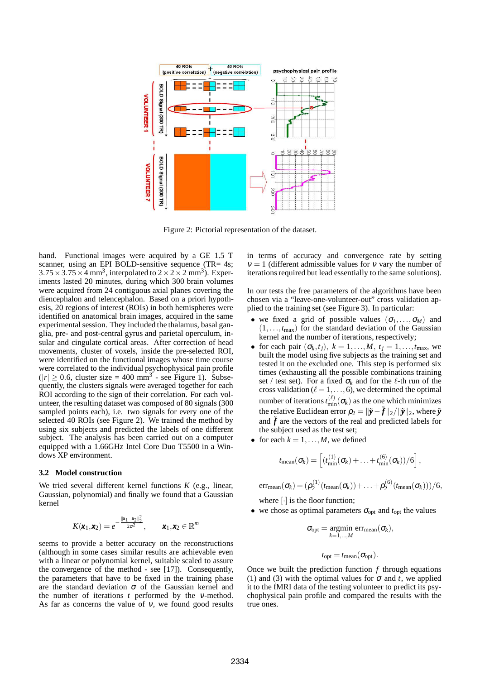

Figure 2: Pictorial representation of the dataset.

hand. Functional images were acquired by a GE 1.5 T scanner, using an EPI BOLD-sensitive sequence (TR= 4s;  $3.75 \times 3.75 \times 4$  mm<sup>3</sup>, interpolated to  $2 \times 2 \times 2$  mm<sup>3</sup>). Experiments lasted 20 minutes, during which 300 brain volumes were acquired from 24 contiguous axial planes covering the diencephalon and telencephalon. Based on a priori hypothesis, 20 regions of interest (ROIs) in both hemispheres were identified on anatomical brain images, acquired in the same experimental session. They included the thalamus, basal ganglia, pre- and post-central gyrus and parietal operculum, insular and cingulate cortical areas. After correction of head movements, cluster of voxels, inside the pre-selected ROI, were identified on the functional images whose time course were correlated to the individual psychophysical pain profile  $(|r| \ge 0.6$ , cluster size = 400 mm<sup>3</sup> - see Figure 1). Subsequently, the clusters signals were averaged together for each ROI according to the sign of their correlation. For each volunteer, the resulting dataset was composed of 80 signals (300 sampled points each), i.e. two signals for every one of the selected 40 ROIs (see Figure 2). We trained the method by using six subjects and predicted the labels of one different subject. The analysis has been carried out on a computer equipped with a 1.66GHz Intel Core Duo T5500 in a Windows XP environment.

#### **3.2 Model construction**

We tried several different kernel functions *K* (e.g., linear, Gaussian, polynomial) and finally we found that a Gaussian kernel

$$
K(\pmb{x}_1,\pmb{x}_2)=e^{-\frac{\|\pmb{x}_1-\pmb{x}_2\|_2^2}{2\sigma^2}},\qquad \pmb{x}_1,\pmb{x}_2\in\mathbb{R}^m
$$

seems to provide a better accuracy on the reconstructions (although in some cases similar results are achievable even with a linear or polynomial kernel, suitable scaled to assure the convergence of the method - see [17]). Consequently, the parameters that have to be fixed in the training phase are the standard deviation  $\sigma$  of the Gaussian kernel and the number of iterations *t* performed by the <sup>ν</sup>-method. As far as concerns the value of  $v$ , we found good results

in terms of accuracy and convergence rate by setting  $v = 1$  (different admissible values for v vary the number of iterations required but lead essentially to the same solutions).

In our tests the free parameters of the algorithms have been chosen via a "leave-one-volunteer-out" cross validation applied to the training set (see Figure 3). In particular:

- we fixed a grid of possible values  $(\sigma_1, \ldots, \sigma_M)$  and  $(1,...,t_{\text{max}})$  for the standard deviation of the Gaussian kernel and the number of iterations, respectively;
- for each pair  $(\sigma_k, t_j)$ ,  $k = 1, \ldots, M$ ,  $t_j = 1, \ldots, t_{\text{max}}$ , we built the model using five subjects as the training set and tested it on the excluded one. This step is performed six times (exhausting all the possible combinations training set / test set). For a fixed  $\sigma_k$  and for the  $\ell$ -th run of the cross validation ( $\ell = 1, \ldots, 6$ ), we determined the optimal number of iterations  $t_{\min}^{(\ell)}(\sigma_k)$  as the one which minimizes the relative Euclidean error  $\rho_2 = ||\tilde{\mathbf{y}} - \tilde{\boldsymbol{f}}||_2/||\tilde{\mathbf{y}}||_2$ , where  $\tilde{\mathbf{y}}$ and  $\tilde{f}$  are the vectors of the real and predicted labels for the subject used as the test set;
- for each  $k = 1, \ldots, M$ , we defined

$$
t_{\text{mean}}(\sigma_k) = \left[ (t_{\text{min}}^{(1)}(\sigma_k) + \ldots + t_{\text{min}}^{(6)}(\sigma_k))/6 \right],
$$

 $\text{err}_{\text{mean}}(\sigma_k) = (\rho_2^{(1)})$  $2^{(1)}(t_{\text{mean}}(\sigma_k)) + \ldots + \rho_2^{(6)}$  $2^{(0)}(t_{\text{mean}}(\sigma_k)))/6,$ 

where [·] is the floor function;

• we chose as optimal parameters  $\sigma_{opt}$  and  $t_{opt}$  the values

$$
\sigma_{\text{opt}} = \underset{k=1,\dots,M}{\text{argmin}} \operatorname{err}_{\text{mean}}(\sigma_k),
$$

$$
t_{\rm opt}=t_{\rm mean}(\sigma_{\rm opt}).
$$

Once we built the prediction function *f* through equations (1) and (3) with the optimal values for  $\sigma$  and *t*, we applied it to the fMRI data of the testing volunteer to predict its psychophysical pain profile and compared the results with the true ones.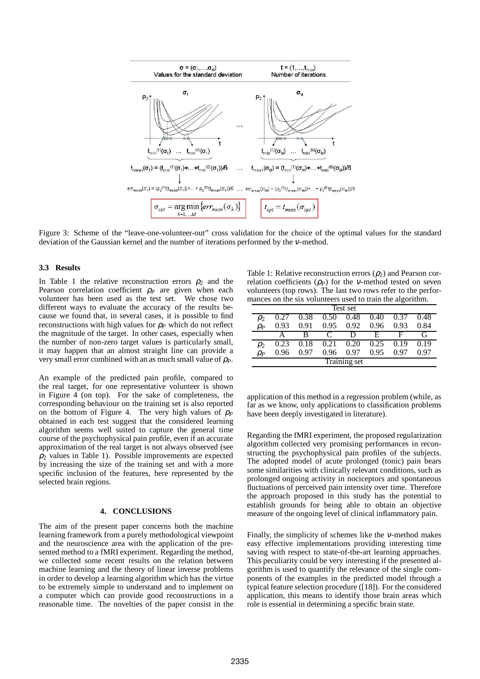

Figure 3: Scheme of the "leave-one-volunteer-out" cross validation for the choice of the optimal values for the standard deviation of the Gaussian kernel and the number of iterations performed by the <sup>ν</sup>-method.

## **3.3 Results**

In Table 1 the relative reconstruction errors  $\rho_2$  and the Pearson correlation coefficient <sup>ρ</sup>*<sup>P</sup>* are given when each volunteer has been used as the test set. We chose two different ways to evaluate the accuracy of the results because we found that, in several cases, it is possible to find reconstructions with high values for  $\rho_P$  which do not reflect the magnitude of the target. In other cases, especially when the number of non-zero target values is particularly small, it may happen that an almost straight line can provide a very small error combined with an as much small value of <sup>ρ</sup>*P*.

An example of the predicted pain profile, compared to the real target, for one representative volunteer is shown in Figure 4 (on top). For the sake of completeness, the corresponding behaviour on the training set is also reported on the bottom of Figure 4. The very high values of  $\rho_P$ obtained in each test suggest that the considered learning algorithm seems well suited to capture the general time course of the psychophysical pain profile, even if an accurate approximation of the real target is not always observed (see  $\rho_2$  values in Table 1). Possible improvements are expected by increasing the size of the training set and with a more specific inclusion of the features, here represented by the selected brain regions.

#### **4. CONCLUSIONS**

The aim of the present paper concerns both the machine learning framework from a purely methodological viewpoint and the neuroscience area with the application of the presented method to a fMRI experiment. Regarding the method, we collected some recent results on the relation between machine learning and the theory of linear inverse problems in order to develop a learning algorithm which has the virtue to be extremely simple to understand and to implement on a computer which can provide good reconstructions in a reasonable time. The novelties of the paper consist in the

Table 1: Relative reconstruction errors  $(\rho_2)$  and Pearson correlation coefficients  $(\rho_P)$  for the *v*-method tested on seven volunteers (top rows). The last two rows refer to the performances on the six volunteers used to train the algorithm.

| Test set     |      |      |                         |      |      |      |      |
|--------------|------|------|-------------------------|------|------|------|------|
| $\rho_2$     |      | 0.38 | 0.50                    | 0.48 | 0.40 | 0.37 | 0.48 |
| PР           | 0.93 | O 91 | 0.95                    | 0.92 | 0.96 | 0.93 | 0.84 |
|              |      | В    | $\mathbf{\mathfrak{c}}$ | ו ו  | F    | ы    | (ì   |
| $\rho_2$     | 0.23 | 0.18 | 0.21                    | 0.20 | 0.25 | 0.19 | 0.19 |
| $\rho_P$     | በ ዓ6 | በ 97 | 0.96                    | በ 97 | 0.95 | 0.97 | በ 97 |
| Training set |      |      |                         |      |      |      |      |

application of this method in a regression problem (while, as far as we know, only applications to classification problems have been deeply investigated in literature).

Regarding the fMRI experiment, the proposed regularization algorithm collected very promising performances in reconstructing the psychophysical pain profiles of the subjects. The adopted model of acute prolonged (tonic) pain bears some similarities with clinically relevant conditions, such as prolonged ongoing activity in nociceptors and spontaneous fluctuations of perceived pain intensity over time. Therefore the approach proposed in this study has the potential to establish grounds for being able to obtain an objective measure of the ongoing level of clinical inflammatory pain.

Finally, the simplicity of schemes like the <sup>ν</sup>-method makes easy effective implementations providing interesting time saving with respect to state-of-the-art learning approaches. This peculiarity could be very interesting if the presented algorithm is used to quantify the relevance of the single components of the examples in the predicted model through a typical feature selection procedure ([18]). For the considered application, this means to identify those brain areas which role is essential in determining a specific brain state.